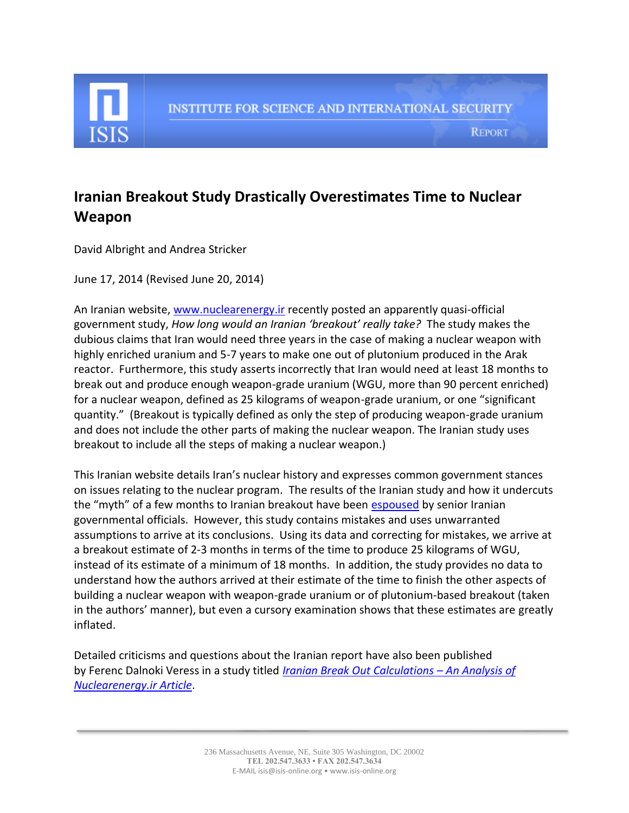

**REPORT** 

## **Iranian Breakout Study Drastically Overestimates Time to Nuclear Weapon**

David Albright and Andrea Stricker

June 17, 2014 (Revised June 20, 2014)

An Iranian website[, www.nuclearenergy.ir](http://www.nuclearenergy.ir/) recently posted an apparently quasi-official government study, *How long would an Iranian 'breakout' really take?* The study makes the dubious claims that Iran would need three years in the case of making a nuclear weapon with highly enriched uranium and 5-7 years to make one out of plutonium produced in the Arak reactor. Furthermore, this study asserts incorrectly that Iran would need at least 18 months to break out and produce enough weapon-grade uranium (WGU, more than 90 percent enriched) for a nuclear weapon, defined as 25 kilograms of weapon-grade uranium, or one "significant quantity." (Breakout is typically defined as only the step of producing weapon-grade uranium and does not include the other parts of making the nuclear weapon. The Iranian study uses breakout to include all the steps of making a nuclear weapon.)

This Iranian website details Iran's nuclear history and expresses common government stances on issues relating to the nuclear program. The results of the Iranian study and how it undercuts the "myth" of a few months to Iranian breakout have been [espoused](http://www.nytimes.com/2014/06/13/world/middleeast/iran-building-nuclear-weapon-would-take-years-not-months-us-disputes-estimate.html?_r=0) by senior Iranian governmental officials. However, this study contains mistakes and uses unwarranted assumptions to arrive at its conclusions. Using its data and correcting for mistakes, we arrive at a breakout estimate of 2-3 months in terms of the time to produce 25 kilograms of WGU, instead of its estimate of a minimum of 18 months. In addition, the study provides no data to understand how the authors arrived at their estimate of the time to finish the other aspects of building a nuclear weapon with weapon-grade uranium or of plutonium-based breakout (taken in the authors' manner), but even a cursory examination shows that these estimates are greatly inflated.

Detailed criticisms and questions about the Iranian report have also been published by Ferenc Dalnoki Veress in a study titled *[Iranian Break Out Calculations](http://www.iranfactfile.org/2014/06/16/response-nuclearenergy-ir-article/) – An Analysis of [Nuclearenergy.ir Article](http://www.iranfactfile.org/2014/06/16/response-nuclearenergy-ir-article/)*.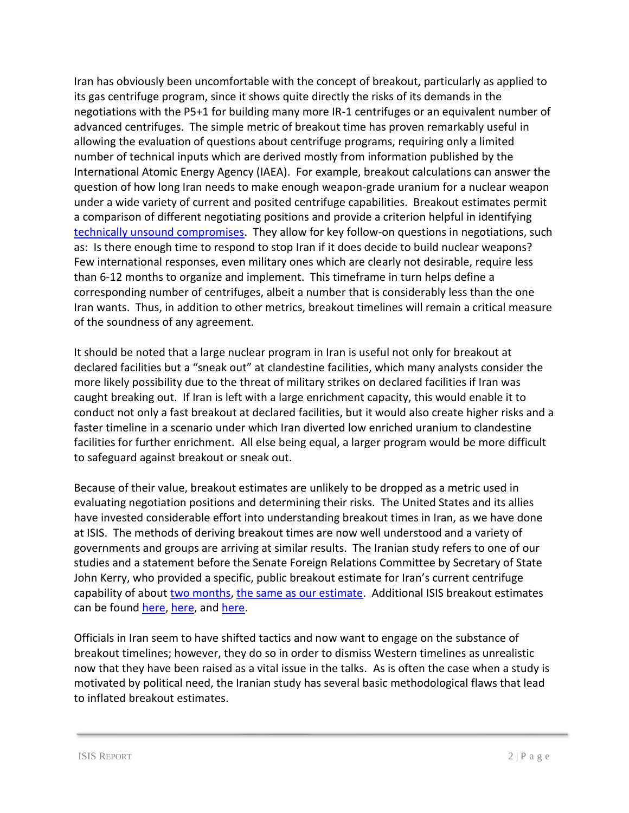Iran has obviously been uncomfortable with the concept of breakout, particularly as applied to its gas centrifuge program, since it shows quite directly the risks of its demands in the negotiations with the P5+1 for building many more IR-1 centrifuges or an equivalent number of advanced centrifuges. The simple metric of breakout time has proven remarkably useful in allowing the evaluation of questions about centrifuge programs, requiring only a limited number of technical inputs which are derived mostly from information published by the International Atomic Energy Agency (IAEA). For example, breakout calculations can answer the question of how long Iran needs to make enough weapon-grade uranium for a nuclear weapon under a wide variety of current and posited centrifuge capabilities. Breakout estimates permit a comparison of different negotiating positions and provide a criterion helpful in identifying [technically unsound compromises.](http://isis-online.org/uploads/isis-reports/documents/Five_Bad_Compromises_3June2014-final.pdf) They allow for key follow-on questions in negotiations, such as: Is there enough time to respond to stop Iran if it does decide to build nuclear weapons? Few international responses, even military ones which are clearly not desirable, require less than 6-12 months to organize and implement. This timeframe in turn helps define a corresponding number of centrifuges, albeit a number that is considerably less than the one Iran wants. Thus, in addition to other metrics, breakout timelines will remain a critical measure of the soundness of any agreement.

It should be noted that a large nuclear program in Iran is useful not only for breakout at declared facilities but a "sneak out" at clandestine facilities, which many analysts consider the more likely possibility due to the threat of military strikes on declared facilities if Iran was caught breaking out. If Iran is left with a large enrichment capacity, this would enable it to conduct not only a fast breakout at declared facilities, but it would also create higher risks and a faster timeline in a scenario under which Iran diverted low enriched uranium to clandestine facilities for further enrichment. All else being equal, a larger program would be more difficult to safeguard against breakout or sneak out.

Because of their value, breakout estimates are unlikely to be dropped as a metric used in evaluating negotiation positions and determining their risks. The United States and its allies have invested considerable effort into understanding breakout times in Iran, as we have done at ISIS. The methods of deriving breakout times are now well understood and a variety of governments and groups are arriving at similar results. The Iranian study refers to one of our studies and a statement before the Senate Foreign Relations Committee by Secretary of State John Kerry, who provided a specific, public breakout estimate for Iran's current centrifuge capability of abou[t two months,](http://www.washingtonpost.com/posttv/world/middle_east/kerry-iran-two-months-from-nuclear-breakout/2014/04/08/7bc1a69e-bf38-11e3-9ee7-02c1e10a03f0_video.html) [the same as our estimate.](http://isis-online.org/uploads/conferences/documents/Albright_Senate_Foreign_Relations_Testimony_Feb_4_2014-final.pdf) Additional ISIS breakout estimates can be found [here,](http://isis-online.org/uploads/isis-reports/documents/Breakout_Study_24October2013.pdf) here, and [here.](http://isis-online.org/uploads/isis-reports/documents/Five_Bad_Compromises_3June2014-final.pdf)

Officials in Iran seem to have shifted tactics and now want to engage on the substance of breakout timelines; however, they do so in order to dismiss Western timelines as unrealistic now that they have been raised as a vital issue in the talks. As is often the case when a study is motivated by political need, the Iranian study has several basic methodological flaws that lead to inflated breakout estimates.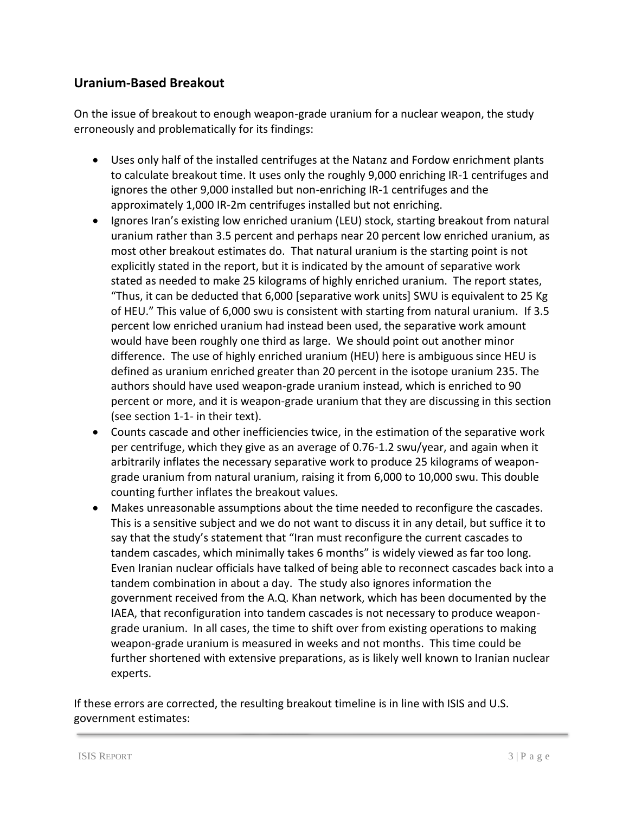## **Uranium-Based Breakout**

On the issue of breakout to enough weapon-grade uranium for a nuclear weapon, the study erroneously and problematically for its findings:

- Uses only half of the installed centrifuges at the Natanz and Fordow enrichment plants to calculate breakout time. It uses only the roughly 9,000 enriching IR-1 centrifuges and ignores the other 9,000 installed but non-enriching IR-1 centrifuges and the approximately 1,000 IR-2m centrifuges installed but not enriching.
- Ignores Iran's existing low enriched uranium (LEU) stock, starting breakout from natural uranium rather than 3.5 percent and perhaps near 20 percent low enriched uranium, as most other breakout estimates do. That natural uranium is the starting point is not explicitly stated in the report, but it is indicated by the amount of separative work stated as needed to make 25 kilograms of highly enriched uranium. The report states, "Thus, it can be deducted that 6,000 [separative work units] SWU is equivalent to 25 Kg of HEU." This value of 6,000 swu is consistent with starting from natural uranium. If 3.5 percent low enriched uranium had instead been used, the separative work amount would have been roughly one third as large. We should point out another minor difference. The use of highly enriched uranium (HEU) here is ambiguous since HEU is defined as uranium enriched greater than 20 percent in the isotope uranium 235. The authors should have used weapon-grade uranium instead, which is enriched to 90 percent or more, and it is weapon-grade uranium that they are discussing in this section (see section 1-1- in their text).
- Counts cascade and other inefficiencies twice, in the estimation of the separative work per centrifuge, which they give as an average of 0.76-1.2 swu/year, and again when it arbitrarily inflates the necessary separative work to produce 25 kilograms of weapongrade uranium from natural uranium, raising it from 6,000 to 10,000 swu. This double counting further inflates the breakout values.
- Makes unreasonable assumptions about the time needed to reconfigure the cascades. This is a sensitive subject and we do not want to discuss it in any detail, but suffice it to say that the study's statement that "Iran must reconfigure the current cascades to tandem cascades, which minimally takes 6 months" is widely viewed as far too long. Even Iranian nuclear officials have talked of being able to reconnect cascades back into a tandem combination in about a day. The study also ignores information the government received from the A.Q. Khan network, which has been documented by the IAEA, that reconfiguration into tandem cascades is not necessary to produce weapongrade uranium. In all cases, the time to shift over from existing operations to making weapon-grade uranium is measured in weeks and not months. This time could be further shortened with extensive preparations, as is likely well known to Iranian nuclear experts.

If these errors are corrected, the resulting breakout timeline is in line with ISIS and U.S. government estimates: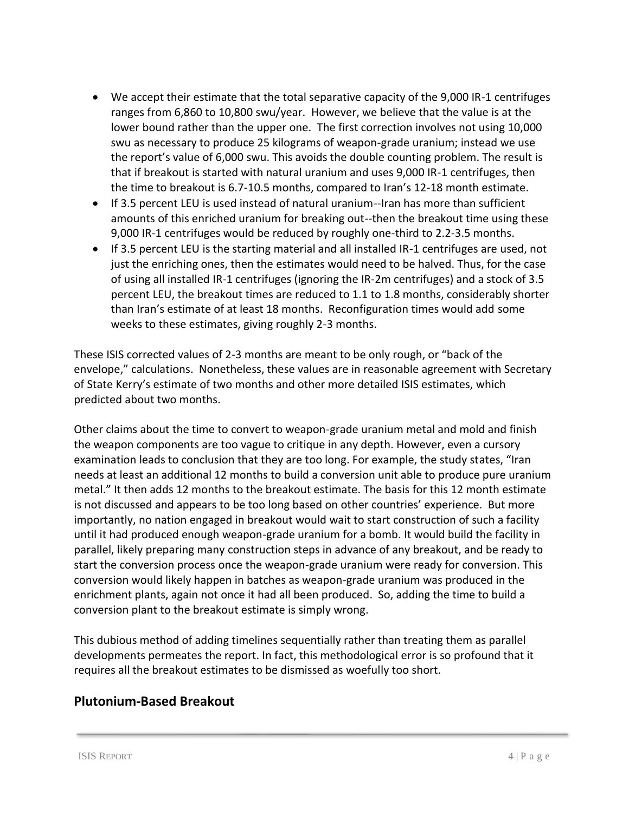- We accept their estimate that the total separative capacity of the 9,000 IR-1 centrifuges ranges from 6,860 to 10,800 swu/year. However, we believe that the value is at the lower bound rather than the upper one. The first correction involves not using 10,000 swu as necessary to produce 25 kilograms of weapon-grade uranium; instead we use the report's value of 6,000 swu. This avoids the double counting problem. The result is that if breakout is started with natural uranium and uses 9,000 IR-1 centrifuges, then the time to breakout is 6.7-10.5 months, compared to Iran's 12-18 month estimate.
- If 3.5 percent LEU is used instead of natural uranium--Iran has more than sufficient amounts of this enriched uranium for breaking out--then the breakout time using these 9,000 IR-1 centrifuges would be reduced by roughly one-third to 2.2-3.5 months.
- If 3.5 percent LEU is the starting material and all installed IR-1 centrifuges are used, not just the enriching ones, then the estimates would need to be halved. Thus, for the case of using all installed IR-1 centrifuges (ignoring the IR-2m centrifuges) and a stock of 3.5 percent LEU, the breakout times are reduced to 1.1 to 1.8 months, considerably shorter than Iran's estimate of at least 18 months. Reconfiguration times would add some weeks to these estimates, giving roughly 2-3 months.

These ISIS corrected values of 2-3 months are meant to be only rough, or "back of the envelope," calculations. Nonetheless, these values are in reasonable agreement with Secretary of State Kerry's estimate of two months and other more detailed ISIS estimates, which predicted about two months.

Other claims about the time to convert to weapon-grade uranium metal and mold and finish the weapon components are too vague to critique in any depth. However, even a cursory examination leads to conclusion that they are too long. For example, the study states, "Iran needs at least an additional 12 months to build a conversion unit able to produce pure uranium metal." It then adds 12 months to the breakout estimate. The basis for this 12 month estimate is not discussed and appears to be too long based on other countries' experience. But more importantly, no nation engaged in breakout would wait to start construction of such a facility until it had produced enough weapon-grade uranium for a bomb. It would build the facility in parallel, likely preparing many construction steps in advance of any breakout, and be ready to start the conversion process once the weapon-grade uranium were ready for conversion. This conversion would likely happen in batches as weapon-grade uranium was produced in the enrichment plants, again not once it had all been produced. So, adding the time to build a conversion plant to the breakout estimate is simply wrong.

This dubious method of adding timelines sequentially rather than treating them as parallel developments permeates the report. In fact, this methodological error is so profound that it requires all the breakout estimates to be dismissed as woefully too short.

## **Plutonium-Based Breakout**